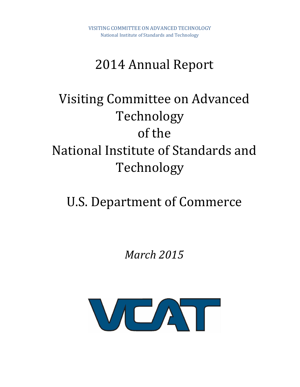# 2014 Annual Report

# Visiting Committee on Advanced Technology of the National Institute of Standards and Technology

# U.S. Department of Commerce

*March 2015*

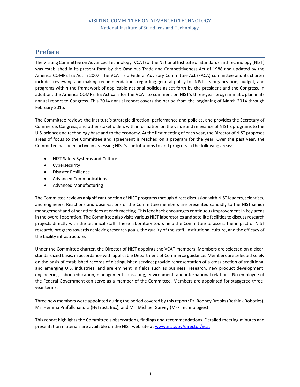# <span id="page-1-0"></span>**Preface**

The Visiting Committee on Advanced Technology (VCAT) of the National Institute of Standards and Technology (NIST) was established in its present form by the Omnibus Trade and Competitiveness Act of 1988 and updated by the America COMPETES Act in 2007. The VCAT is a Federal Advisory Committee Act (FACA) committee and its charter includes reviewing and making recommendations regarding general policy for NIST, its organization, budget, and programs within the framework of applicable national policies as set forth by the president and the Congress. In addition, the America COMPETES Act calls for the VCAT to comment on NIST's three-year programmatic plan in its annual report to Congress. This 2014 annual report covers the period from the beginning of March 2014 through February 2015.

The Committee reviews the Institute's strategic direction, performance and policies, and provides the Secretary of Commerce, Congress, and other stakeholders with information on the value and relevance of NIST's programs to the U.S. science and technology base and to the economy. At the first meeting of each year, the Director of NIST proposes areas of focus to the Committee and agreement is reached on a program for the year. Over the past year, the Committee has been active in assessing NIST's contributions to and progress in the following areas:

- NIST Safety Systems and Culture
- Cybersecurity
- Disaster Resilience
- Advanced Communications
- Advanced Manufacturing

The Committee reviews a significant portion of NIST programs through direct discussion with NIST leaders, scientists, and engineers. Reactions and observations of the Committee members are presented candidly to the NIST senior management and other attendees at each meeting. This feedback encourages continuous improvement in key areas in the overall operation. The Committee also visits various NIST laboratories and satellite facilities to discuss research projects directly with the technical staff. These laboratory tours help the Committee to assess the impact of NIST research, progress towards achieving research goals, the quality of the staff, institutional culture, and the efficacy of the facility infrastructure.

Under the Committee charter, the Director of NIST appoints the VCAT members. Members are selected on a clear, standardized basis, in accordance with applicable Department of Commerce guidance. Members are selected solely on the basis of established records of distinguished service; provide representation of a cross-section of traditional and emerging U.S. industries; and are eminent in fields such as business, research, new product development, engineering, labor, education, management consulting, environment, and international relations. No employee of the Federal Government can serve as a member of the Committee. Members are appointed for staggered threeyear terms.

Three new members were appointed during the period covered by this report: Dr. Rodney Brooks (Rethink Robotics), Ms. Hemma Prafullchandra (HyTrust, Inc.), and Mr. Michael Garvey (M-7 Technologies)

This report highlights the Committee's observations, findings and recommendations. Detailed meeting minutes and presentation materials are available on the NIST web site a[t www.nist.gov/director/vcat.](http://www.nist.gov/director/vcat)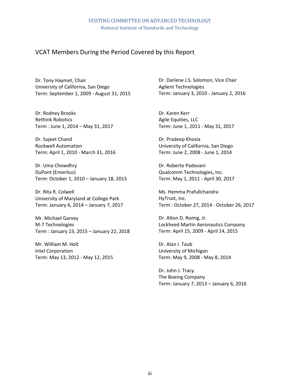# VCAT Members During the Period Covered by this Report

Dr. Tony Haymet, Chair University of California, San Diego Term: September 1, 2009 - August 31, 2015

Dr. Rodney Brooks Rethink Robotics Term : June 1, 2014 – May 31, 2017

Dr. Sujeet Chand Rockwell Automation Term: April 1, 2010 - March 31, 2016

Dr. Uma Chowdhry DuPont (Emeritus) Term: October 1, 2010 – January 18, 2015

Dr. Rita R. Colwell University of Maryland at College Park Term: January 6, 2014 – January 7, 2017

Mr. Michael Garvey M-7 Technologies Term : January 23, 2015 – January 22, 2018

Mr. William M. Holt Intel Corporation Term: May 13, 2012 - May 12, 2015

Dr. Darlene J.S. Solomon, Vice Chair Agilent Technologies Term: January 3, 2010 - January 2, 2016

Dr. Karen Kerr Agile Equities, LLC Term: June 1, 2011 - May 31, 2017

Dr. Pradeep Khosla University of California, San Diego Term: June 2, 2008 - June 1, 2014

Dr. Roberto Padovani Qualcomm Technologies, Inc. Term: May 1, 2011 - April 30, 2017

Ms. Hemma Prafullchandra HyTrust, Inc. Term : October 27, 2014 - October 26, 2017

Dr. Alton D. Romig, Jr. Lockheed Martin Aeronautics Company Term: April 15, 2009 - April 14, 2015

Dr. Alan I. Taub University of Michigan Term: May 9, 2008 - May 8, 2014

Dr. John J. Tracy The Boeing Company Term: January 7, 2013 – January 6, 2016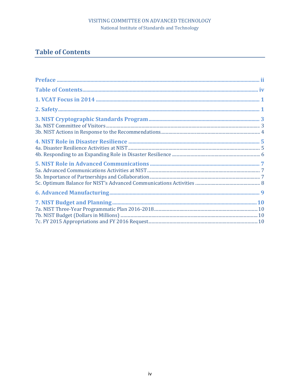# <span id="page-3-0"></span>**Table of Contents**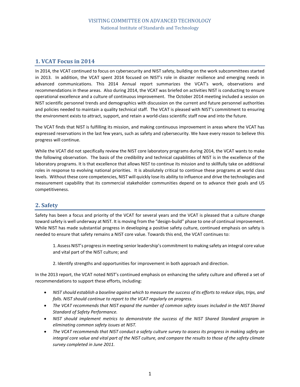# <span id="page-4-0"></span>**1. VCAT Focus in 2014**

In 2014, the VCAT continued to focus on cybersecurity and NIST safety, building on the work subcommittees started in 2013. In addition, the VCAT spent 2014 focused on NIST's role in disaster resilience and emerging needs in advanced communications. This 2014 Annual report summarizes the VCAT's work, observations and recommendations in these areas. Also during 2014, the VCAT was briefed on activities NIST is conducting to ensure operational excellence and a culture of continuous improvement. The October 2014 meeting included a session on NIST scientific personnel trends and demographics with discussion on the current and future personnel authorities and policies needed to maintain a quality technical staff. The VCAT is pleased with NIST's commitment to ensuring the environment exists to attract, support, and retain a world-class scientific staff now and into the future.

The VCAT finds that NIST is fulfilling its mission, and making continuous improvement in areas where the VCAT has expressed reservations in the last few years, such as safety and cybersecurity. We have every reason to believe this progress will continue.

While the VCAT did not specifically review the NIST core laboratory programs during 2014, the VCAT wants to make the following observation. The basis of the credibility and technical capabilities of NIST is in the excellence of the laboratory programs. It is that excellence that allows NIST to continue its mission and to skillfully take on additional roles in response to evolving national priorities. It is absolutely critical to continue these programs at world class levels. Without these core competencies, NIST will quickly lose its ability to influence and drive the technologies and measurement capability that its commercial stakeholder communities depend on to advance their goals and US competitiveness.

# <span id="page-4-1"></span>**2. Safety**

Safety has been a focus and priority of the VCAT for several years and the VCAT is pleased that a culture change toward safety is well underway at NIST. It is moving from the "design-build" phase to one of continual improvement. While NIST has made substantial progress in developing a positive safety culture, continued emphasis on safety is needed to ensure that safety remains a NIST core value. Towards this end, the VCAT continues to:

1. Assess NIST's progress in meeting senior leadership's commitment to making safety an integral core value and vital part of the NIST culture; and

2. Identify strengths and opportunities for improvement in both approach and direction.

In the 2013 report, the VCAT noted NIST's continued emphasis on enhancing the safety culture and offered a set of recommendations to support these efforts, including:

- *NIST should establish a baseline against which to measure the success of its efforts to reduce slips, trips, and falls. NIST should continue to report to the VCAT regularly on progress.*
- *The VCAT recommends that NIST expand the number of common safety issues included in the NIST Shared Standard of Safety Performance.*
- *NIST should implement metrics to demonstrate the success of the NIST Shared Standard program in eliminating common safety issues at NIST.*
- *The VCAT recommends that NIST conduct a safety culture survey to assess its progress in making safety an integral core value and vital part of the NIST culture, and compare the results to those of the safety climate survey completed in June 2011.*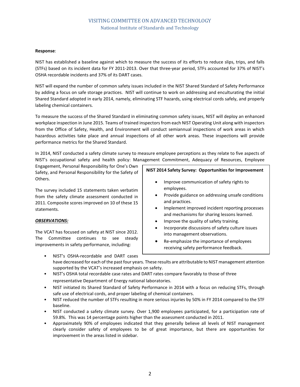#### **Response**:

NIST has established a baseline against which to measure the success of its efforts to reduce slips, trips, and falls (STFs) based on its incident data for FY 2011-2013. Over that three-year period, STFs accounted for 37% of NIST's OSHA recordable incidents and 37% of its DART cases.

NIST will expand the number of common safety issues included in the NIST Shared Standard of Safety Performance by adding a focus on safe storage practices. NIST will continue to work on addressing and enculturating the initial Shared Standard adopted in early 2014, namely, eliminating STF hazards, using electrical cords safely, and properly labeling chemical containers.

To measure the success of the Shared Standard in eliminating common safety issues, NIST will deploy an enhanced workplace inspection in June 2015. Teams of trained inspectors from each NIST Operating Unit along with inspectors from the Office of Safety, Health, and Environment will conduct semiannual inspections of work areas in which hazardous activities take place and annual inspections of all other work areas. These inspections will provide performance metrics for the Shared Standard.

In 2014, NIST conducted a safety climate survey to measure employee perceptions as they relate to five aspects of NIST's occupational safety and health policy: Management Commitment, Adequacy of Resources, Employee

Engagement, Personal Responsibility for One's Own Safety, and Personal Responsibility for the Safety of Others.

The survey included 15 statements taken verbatim from the safety climate assessment conducted in 2011. Composite scores improved on 10 of these 15 statements.

#### *OBSERVATIONS:*

The VCAT has focused on safety at NIST since 2012. The Committee continues to see steady improvements in safety performance, including:

**NIST 2014 Safety Survey: Opportunities for Improvement**

- Improve communication of safety rights to employees.
- Provide guidance on addressing unsafe conditions and practices.
- Implement improved incident reporting processes and mechanisms for sharing lessons learned.
- Improve the quality of safety training.
- Incorporate discussions of safety culture issues into management observations.
- Re-emphasize the importance of employees receiving safety performance feedback.
- NIST's OSHA-recordable and DART cases have decreased for each of the past four years. These results are attributable to NIST management attention supported by the VCAT's increased emphasis on safety.
- NIST's OSHA total recordable case rates and DART rates compare favorably to those of three representative Department of Energy national laboratories.
- NIST initiated its Shared Standard of Safety Performance in 2014 with a focus on reducing STFs, through safe use of electrical cords, and proper labeling of chemical containers.
- NIST reduced the number of STFs resulting in more serious injuries by 50% in FY 2014 compared to the STF baseline.
- NIST conducted a safety climate survey. Over 1,900 employees participated, for a participation rate of 59.8%. This was 14 percentage points higher than the assessment conducted in 2011.
- Approximately 90% of employees indicated that they generally believe all levels of NIST management clearly consider safety of employees to be of great importance, but there are opportunities for improvement in the areas listed in sidebar.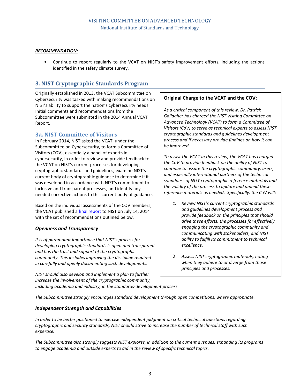#### *RECOMMENDATION:*

• Continue to report regularly to the VCAT on NIST's safety improvement efforts, including the actions identified in the safety climate survey.

# <span id="page-6-0"></span>**3. NIST Cryptographic Standards Program**

Originally established in 2013, the VCAT Subcommittee on Cybersecurity was tasked with making recommendations on NIST's ability to support the nation's cybersecurity needs. Initial comments and recommendations from the Subcommittee were submitted in the 2014 Annual VCAT Report.

# <span id="page-6-1"></span>**3a. NIST Committee of Visitors**

In February 2014, NIST asked the VCAT, under the Subcommittee on Cybersecurity, to form a Committee of Visitors (COV), essentially a panel of experts in cybersecurity, in order to review and provide feedback to the VCAT on NIST's current processes for developing cryptographic standards and guidelines, examine NIST's current body of cryptographic guidance to determine if it was developed in accordance with NIST's commitment to inclusive and transparent processes, and identify any needed corrective actions to this current body of guidance.

Based on the individual assessments of the COV members, the VCAT published a [final report](http://www.nist.gov/director/vcat/cryptographic-standards-guidelines-process.cfm) to NIST on July 14, 2014 with the set of recommendations outlined below.

#### *Openness and Transparency*

*It is of paramount importance that NIST's process for developing cryptographic standards is open and transparent and has the trust and support of the cryptographic community. This includes improving the discipline required in carefully and openly documenting such developments.* 

### **Original Charge to the VCAT and the COV:**

*As a critical component of this review, Dr. Patrick Gallagher has charged the NIST Visiting Committee on Advanced Technology (VCAT) to form a Committee of Visitors (CoV) to serve as technical experts to assess NIST cryptographic standards and guidelines development process and if necessary provide findings on how it can be improved.* 

*To assist the VCAT in this review, the VCAT has charged the CoV to provide feedback on the ability of NIST to continue to assure the cryptographic community, users, and especially international partners of the technical soundness of NIST cryptographic reference materials and the validity of the process to update and amend these reference materials as needed. Specifically, the CoV will:* 

- *1. Review NIST's current cryptographic standards and guidelines development process and provide feedback on the principles that should drive these efforts, the processes for effectively engaging the cryptographic community and communicating with stakeholders, and NIST ability to fulfill its commitment to technical excellence.*
- 2. *Assess NIST cryptographic materials, noting when they adhere to or diverge from those principles and processes.*

*NIST should also develop and implement a plan to further increase the involvement of the cryptographic community, including academia and industry, in the standards-development process.* 

*The Subcommittee strongly encourages standard development through open competitions, where appropriate.*

#### *Independent Strength and Capabilities*

*In order to be better positioned to exercise independent judgment on critical technical questions regarding cryptographic and security standards, NIST should strive to increase the number of technical staff with such expertise.*

*The Subcommittee also strongly suggests NIST explores, in addition to the current avenues, expanding its programs to engage academia and outside experts to aid in the review of specific technical topics.*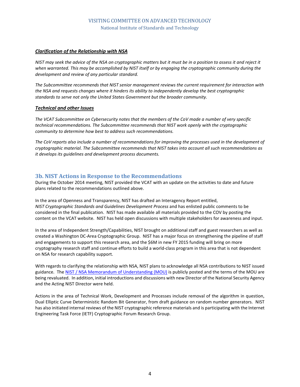#### *Clarification of the Relationship with NSA*

*NIST may seek the advice of the NSA on cryptographic matters but it must be in a position to assess it and reject it when warranted. This may be accomplished by NIST itself or by engaging the cryptographic community during the development and review of any particular standard.*

*The Subcommittee recommends that NIST senior management reviews the current requirement for interaction with the NSA and requests changes where it hinders its ability to independently develop the best cryptographic standards to serve not only the United States Government but the broader community.*

#### *Technical and other Issues*

*The VCAT Subcommittee on Cybersecurity notes that the members of the CoV made a number of very specific technical recommendations. The Subcommittee recommends that NIST work openly with the cryptographic community to determine how best to address such recommendations.* 

*The CoV reports also include a number of recommendations for improving the processes used in the development of cryptographic material. The Subcommittee recommends that NIST takes into account all such recommendations as it develops its guidelines and development process documents.*

# <span id="page-7-0"></span>**3b. NIST Actions in Response to the Recommendations**

During the October 2014 meeting, NIST provided the VCAT with an update on the activities to date and future plans related to the recommendations outlined above.

In the area of Openness and Transparency, NIST has drafted an Interagency Report entitled, *NIST Cryptographic Standards and Guidelines Development Process* and has enlisted public comments to be considered in the final publication. NIST has made available all materials provided to the COV by posting the content on the VCAT website. NIST has held open discussions with multiple stakeholders for awareness and input.

In the area of Independent Strength/Capabilities, NIST brought on additional staff and guest researchers as well as created a Washington DC-Area Cryptographic Group. NIST has a major focus on strengthening the pipeline of staff and engagements to support this research area, and the \$6M in new FY 2015 funding will bring on more cryptography research staff and continue efforts to build a world-class program in this area that is not dependent on NSA for research capability support.

With regards to clarifying the relationship with NSA, NIST plans to acknowledge all NSA contributions to NIST issued guidance. Th[e NIST / NSA Memorandum of Understanding \(MOU\)](http://csrc.nist.gov/groups/ST/crypto-review/documents/NIST_NSA_MOU-1989.pdf) is publicly posted and the terms of the MOU are being revaluated. In addition, initial introductions and discussions with new Director of the National Security Agency and the Acting NIST Director were held.

Actions in the area of Technical Work, Development and Processes include removal of the algorithm in question, Dual Elliptic Curve Deterministic Random Bit Generator, from draft guidance on random number generators. NIST has also initiated internal reviews of the NIST cryptographic reference materials and is participating with the Internet Engineering Task Force (IETF) Cryptographic Forum Research Group.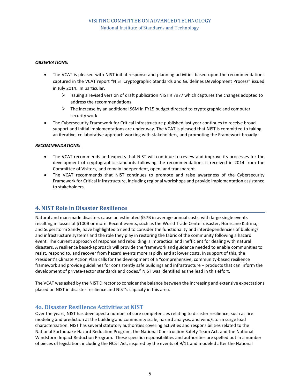#### *OBSERVATIONS:*

- The VCAT is pleased with NIST initial response and planning activities based upon the recommendations captured in the VCAT report "NIST Cryptographic Standards and Guidelines Development Process" issued in July 2014. In particular,
	- $\triangleright$  Issuing a revised version of draft publication NISTIR 7977 which captures the changes adopted to address the recommendations
	- $\triangleright$  The increase by an additional \$6M in FY15 budget directed to cryptographic and computer security work
- The Cybersecurity Framework for Critical Infrastructure published last year continues to receive broad support and initial implementations are under way. The VCAT is pleased that NIST is committed to taking an iterative, collaborative approach working with stakeholders, and promoting the Framework broadly.

#### *RECOMMENDATIONS:*

- The VCAT recommends and expects that NIST will continue to review and improve its processes for the development of cryptographic standards following the recommendations it received in 2014 from the Committee of Visitors, and remain independent, open, and transparent.
- The VCAT recommends that NIST continues to promote and raise awareness of the Cybersecurity Framework for Critical Infrastructure, including regional workshops and provide implementation assistance to stakeholders.

# <span id="page-8-0"></span>**4. NIST Role in Disaster Resilience**

Natural and man-made disasters cause an estimated \$57B in average annual costs, with large single events resulting in losses of \$100B or more. Recent events, such as the World Trade Center disaster, Hurricane Katrina, and Superstorm Sandy, have highlighted a need to consider the functionality and interdependencies of buildings and infrastructure systems and the role they play in restoring the fabric of the community following a hazard event. The current approach of response and rebuilding is impractical and inefficient for dealing with natural disasters. A resilience based-approach will provide the framework and guidance needed to enable communities to resist, respond to, and recover from hazard events more rapidly and at lower costs. In support of this, the President's Climate Action Plan calls for the development of a "comprehensive, community-based resilience framework and provide guidelines for consistently safe buildings and infrastructure – products that can inform the development of private-sector standards and codes." NIST was identified as the lead in this effort.

The VCAT was asked by the NIST Director to consider the balance between the increasing and extensive expectations placed on NIST in disaster resilience and NIST's capacity in this area.

### <span id="page-8-1"></span>**4a. Disaster Resilience Activities at NIST**

Over the years, NIST has developed a number of core competencies relating to disaster resilience, such as fire modeling and prediction at the building and community scale, hazard analysis, and wind/storm surge load characterization. NIST has several statutory authorities covering activities and responsibilities related to the National Earthquake Hazard Reduction Program, the National Construction Safety Team Act, and the National Windstorm Impact Reduction Program. These specific responsibilities and authorities are spelled out in a number of pieces of legislation, including the NCST Act, inspired by the events of 9/11 and modeled after the National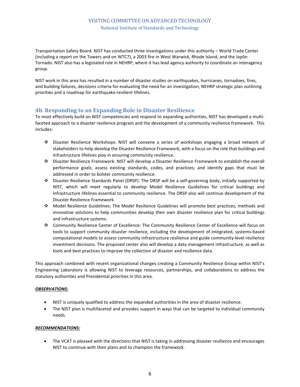Transportation Safety Board. NIST has conducted three investigations under this authority – World Trade Center (including a report on the Towers and on WTC7), a 2003 fire in West Warwick, Rhode Island, and the Joplin Tornado. NIST also has a legislated role in NEHRP, where it has lead agency authority to coordinate an interagency group.

NIST work in this area has resulted in a number of disaster studies on earthquakes, hurricanes, tornadoes, fires, and building failures, decisions criteria for evaluating the need for an investigation, NEHRP strategic plan outlining priorities and a roadmap for earthquake-resilient lifelines.

#### <span id="page-9-0"></span>**4b. Responding to an Expanding Role in Disaster Resilience**

To most effectively build on NIST competencies and respond to expanding authorities, NIST has developed a multifaceted approach to a disaster resilience program and the development of a community resilience framework. This includes:

- Disaster Resilience Workshops: NIST will convene a series of workshops engaging a broad network of stakeholders to help develop the Disaster Resilience Framework, with a focus on the role that buildings and infrastructure lifelines play in ensuring community resilience.
- Disaster Resilience Framework: NIST will develop a Disaster Resilience Framework to establish the overall performance goals; assess existing standards, codes, and practices; and identify gaps that must be addressed in order to bolster community resilience.
- Disaster Resilience Standards Panel (DRSP): The DRSP will be a self-governing body, initially supported by NIST, which will meet regularly to develop Model Resilience Guidelines for critical buildings and infrastructure lifelines essential to community resilience. The DRSP also will continue development of the Disaster Resilience Framework.
- Model Resilience Guidelines: The Model Resilience Guidelines will promote best practices, methods and innovative solutions to help communities develop their own disaster resilience plan for critical buildings and infrastructure systems.
- Community Resilience Center of Excellence: The Community Resilience Center of Excellence will focus on tools to support community disaster resilience, including the development of integrated, systems-based computational models to assess community infrastructure resilience and guide community-level resilience investment decisions. The proposed center also will develop a data management infrastructure, as well as tools and best practices to improve the collection of disaster and resilience data.

This approach combined with recent organizational changes creating a Community Resilience Group within NIST's Engineering Laboratory is allowing NIST to leverage resources, partnerships, and collaborations to address the statutory authorities and Presidential priorities in this area.

#### *OBSERVATIONS:*

- NIST is uniquely qualified to address the expanded authorities in the area of disaster resilience.
- The NIST plan is multifaceted and provides support in ways that can be targeted to individual community needs.

#### *RECOMMENDATIONS:*

• The VCAT is pleased with the directions that NIST is taking in addressing disaster resilience and encourages NIST to continue with their plans and to champion the framework.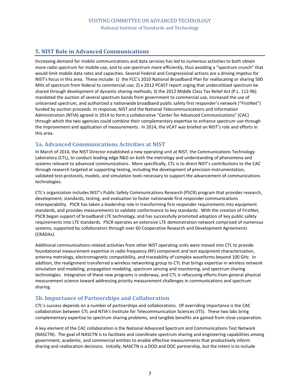# <span id="page-10-0"></span>**5. NIST Role in Advanced Communications**

Increasing demand for mobile communications and data services has led to numerous activities to both obtain more radio spectrum for mobile use, and to use spectrum more efficiently, thus avoiding a "spectrum crunch" that would limit mobile data rates and capacities. Several Federal and Congressional actions are a driving impetus for NIST's focus in this area. These include: 1) the FCC's 2010 National Broadband Plan for reallocating or sharing 500 MHz of spectrum from federal to commercial use; 2) a 2012 PCAST report urging that underutilized spectrum be shared through development of dynamic sharing methods; 3) the 2012 Middle Class Tax Relief Act (P.L. 112-96) mandated the auction of several spectrum bands from government to commercial use, increased the use of unlicensed spectrum, and authorized a nationwide broadband public safety first responder's network ("FirstNet") funded by auction proceeds. In response, NIST and the National Telecommunications and Information Administration (NTIA) agreed in 2014 to form a collaborative "Center for Advanced Communications" (CAC) through which the two agencies could combine their complementary expertise to enhance spectrum use through the improvement and application of measurements. In 2014, the VCAT was briefed on NIST's role and efforts in this area.

# <span id="page-10-1"></span>**5a. Advanced Communications Activities at NIST**

In March of 2014, the NIST Director established a new operating unit at NIST, the Communications Technology Laboratory (CTL), to conduct leading edge R&D on both the metrology and understanding of phenomena and systems relevant to advanced communications. More specifically, CTL is to direct NIST's contributions to the CAC through research targeted at supporting testing, including the development of precision instrumentation, validated test-protocols, models, and simulation tools necessary to support the advancement of communications technologies.

CTL's organization includes NIST's Public Safety Communications Research (PSCR) program that provides research, development, standards, testing, and evaluation to foster nationwide first responder communications interoperability. PSCR has taken a leadership role in transforming first responder requirements into equipment standards, and provides measurements to validate conformance to key standards. With the creation of FirstNet, PSCR began support of broadband LTE technology, and has successfully promoted adoption of key public safety requirements into LTE standards. PSCR operates an extensive LTE demonstration network comprised of numerous systems, supported by collaborators through over 60 Cooperative Research and Development Agreements (CRADAs).

Additional communications-related activities from other NIST operating units were moved into CTL to provide foundational measurement expertise in radio frequency (RF) component and test equipment characterization, antenna metrology, electromagnetic compatibility, and traceability of complex waveforms beyond 100 GHz. In addition, the realignment transferred a wireless networking group to CTL that brings expertise in wireless network simulation and modeling, propagation modeling, spectrum sensing and monitoring, and spectrum sharing technologies. Integration of these new programs is underway, and CTL is refocusing efforts from general physical measurement science toward addressing priority measurement challenges in communications and spectrum sharing.

# <span id="page-10-2"></span>**5b. Importance of Partnerships and Collaboration**

CTL's success depends on a number of partnerships and collaborations. Of overriding importance is the CAC collaboration between CTL and NTIA's Institute for Telecommunication Sciences (ITS). These two labs bring complementary expertise to spectrum sharing problems, and tangible benefits are gained from close cooperation.

A key element of the CAC collaboration is the National Advanced Spectrum and Communications Test Network (NASCTN). The goal of NASCTN is to facilitate and coordinate spectrum sharing and engineering capabilities among government, academic, and commercial entities to enable effective measurements that productively inform sharing and reallocation decisions. Initially, NASCTN is a DOD and DOC partnership, but the intent is to include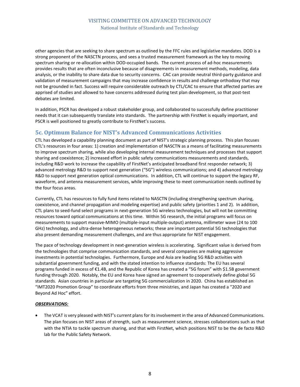other agencies that are seeking to share spectrum as outlined by the FFC rules and legislative mandates. DOD is a strong proponent of the NASCTN process, and sees a trusted measurement framework as the key to moving spectrum sharing or re-allocation within DOD-occupied bands. The current process of ad-hoc measurements provides results that are often inconclusive because of disagreements in measurement methods, modeling, data analysis, or the inability to share data due to security concerns. CAC can provide neutral third-party guidance and validation of measurement campaigns that may increase confidence in results and challenge orthodoxy that may not be grounded in fact. Success will require considerable outreach by CTL/CAC to ensure that affected parties are apprised of studies and allowed to have concerns addressed during test plan development, so that post-test debates are limited.

In addition, PSCR has developed a robust stakeholder group, and collaborated to successfully define practitioner needs that it can subsequently translate into standards. The partnership with FirstNet is equally important, and PSCR is well positioned to greatly contribute to FirstNet's success.

# <span id="page-11-0"></span>**5c. Optimum Balance for NIST's Advanced Communications Activities**

CTL has developed a capability planning document as part of NIST's strategic planning process. This plan focuses CTL's resources in four areas: 1) creation and implementation of NASCTN as a means of facilitating measurements to improve spectrum sharing, while also developing internal measurement techniques and processes that support sharing and coexistence; 2) increased effort in public safety communications measurements and standards, including R&D work to increase the capability of FirstNet's anticipated broadband first responder network; 3) advanced metrology R&D to support next generation ("5G") wireless communications; and 4) advanced metrology R&D to support next generation optical communications. In addition, CTL will continue to support the legacy RF, waveform, and antenna measurement services, while improving these to meet communication needs outlined by the four focus areas.

Currently, CTL has resources to fully fund items related to NASCTN (including strengthening spectrum sharing, coexistence, and channel propagation and modeling expertise) and public safety (priorities 1 and 2). In addition, CTL plans to seed-fund select programs in next-generation 5G wireless technologies, but will not be committing resources toward optical communications at this time. Within 5G research, the initial programs will focus on measurements to support massive-MIMO (multiple-input multiple-output) antenna, millimeter wave (24 to 100 GHz) technology, and ultra-dense heterogeneous networks; these are important potential 5G technologies that also present demanding measurement challenges, and are thus appropriate for NIST engagement.

The pace of technology development in next-generation wireless is accelerating. Significant value is derived from the technologies that comprise communication standards, and several companies are making aggressive investments in potential technologies. Furthermore, Europe and Asia are leading 5G R&D activities with substantial government funding, and with the stated intention to influence standards: The EU has several programs funded in excess of €1.4B, and the Republic of Korea has created a "5G forum" with \$1.5B government funding through 2020. Notably, the EU and Korea have signed an agreement to cooperatively define global 5G standards. Asian countries in particular are targeting 5G commercialization in 2020. China has established an "IMT2020 Promotion Group" to coordinate efforts from three ministries, and Japan has created a "2020 and Beyond Ad Hoc" effort.

#### *OBSERVATIONS:*

• The VCAT is very pleased with NIST's current plans for its involvement in the area of Advanced Communications. The plan focuses on NIST areas of strength, such as measurement science, stresses collaborations such as that with the NTIA to tackle spectrum sharing, and that with FirstNet, which positions NIST to be the de facto R&D lab for the Public Safety Network.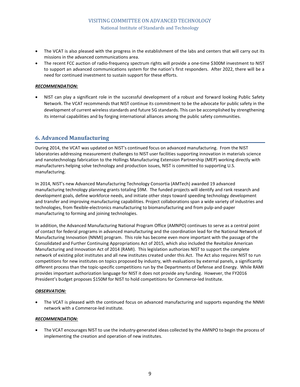- The VCAT is also pleased with the progress in the establishment of the labs and centers that will carry out its missions in the advanced communications area.
- The recent FCC auction of radio-frequency spectrum rights will provide a one-time \$300M investment to NIST to support an advanced communications system for the nation's first responders. After 2022, there will be a need for continued investment to sustain support for these efforts.

#### *RECOMMENDATION:*

• NIST can play a significant role in the successful development of a robust and forward looking Public Safety Network. The VCAT recommends that NIST continue its commitment to be the advocate for public safety in the development of current wireless standards and future 5G standards. This can be accomplished by strengthening its internal capabilities and by forging international alliances among the public safety communities.

# <span id="page-12-0"></span>**6. Advanced Manufacturing**

During 2014, the VCAT was updated on NIST's continued focus on advanced manufacturing. From the NIST laboratories addressing measurement challenges to NIST user facilities supporting innovation in materials science and nanotechnology fabrication to the Hollings Manufacturing Extension Partnership (MEP) working directly with manufacturers helping solve technology and production issues, NIST is committed to supporting U.S. manufacturing.

In 2014, NIST's new Advanced Manufacturing Technology Consortia (AMTech) awarded 19 advanced manufacturing technology planning grants totaling \$9M. The funded projects will identify and rank research and development goals, define workforce needs, and initiate other steps toward speeding technology development and transfer and improving manufacturing capabilities. Project collaborations span a wide variety of industries and technologies, from flexible-electronics manufacturing to biomanufacturing and from pulp-and-paper manufacturing to forming and joining technologies.

In addition, the Advanced Manufacturing National Program Office (AMNPO) continues to serve as a central point of contact for federal programs in advanced manufacturing and the coordination lead for the National Network of Manufacturing Innovation (NNMI) program. This role has become even more important with the passage of the Consolidated and Further Continuing Appropriations Act of 2015, which also included the Revitalize American Manufacturing and Innovation Act of 2014 (RAMI). This legislation authorizes NIST to support the complete network of existing pilot institutes and all new institutes created under this Act. The Act also requires NIST to run competitions for new institutes on topics proposed by industry, with evaluations by external panels, a significantly different process than the topic-specific competitions run by the Departments of Defense and Energy. While RAMI provides important authorization language for NIST it does not provide any funding. However, the FY2016 President's budget proposes \$150M for NIST to hold competitions for Commerce-led Institute.

#### *OBSERVATION:*

• The VCAT is pleased with the continued focus on advanced manufacturing and supports expanding the NNMI network with a Commerce-led institute.

#### *RECOMMENDATION:*

• The VCAT encourages NIST to use the industry-generated ideas collected by the AMNPO to begin the process of implementing the creation and operation of new institutes.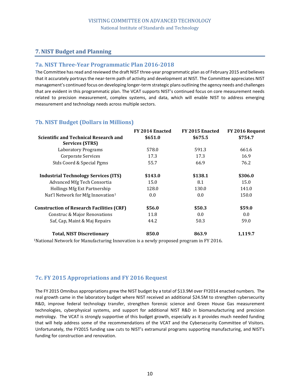# <span id="page-13-0"></span>**7. NIST Budget and Planning**

#### <span id="page-13-1"></span>**7a. NIST Three-Year Programmatic Plan 2016-2018**

The Committee has read and reviewed the draft NIST three-year programmatic plan as of February 2015 and believes that it accurately portrays the near-term path of activity and development at NIST. The Committee appreciates NIST management's continued focus on developing longer-term strategic plans outlining the agency needs and challenges that are evident in this programmatic plan. The VCAT supports NIST's continued focus on core measurement needs related to precision measurement, complex systems, and data, which will enable NIST to address emerging measurement and technology needs across multiple sectors.

# <span id="page-13-2"></span>**7b. NIST Budget (Dollars in Millions)**

|                                                  | FY 2014 Enacted | FY 2015 Enacted | FY 2016 Request |
|--------------------------------------------------|-----------------|-----------------|-----------------|
| <b>Scientific and Technical Research and</b>     | \$651.0         | \$675.5         | \$754.7         |
| <b>Services (STRS)</b>                           |                 |                 |                 |
| <b>Laboratory Programs</b>                       | 578.0           | 591.3           | 661.6           |
| <b>Corporate Services</b>                        | 17.3            | 17.3            | 16.9            |
| Stds Coord & Special Pgms                        | 55.7            | 66.9            | 76.2            |
| <b>Industrial Technology Services (ITS)</b>      | \$143.0         | \$138.1         | \$306.0         |
| Advanced Mfg Tech Consortia                      | 15.0            | 8.1             | 15.0            |
| <b>Hollings Mfg Ext Partnership</b>              | 128.0           | 130.0           | 141.0           |
| Nat'l Network for Mfg Innovation <sup>1</sup>    | 0.0             | 0.0             | 150.0           |
| <b>Construction of Research Facilities (CRF)</b> | \$56.0          | \$50.3          | \$59.0          |
| Construc & Major Renovations                     | 11.8            | 0.0             | 0.0             |
| Saf, Cap, Maint & Maj Repairs                    | 44.2            | 50.3            | 59.0            |
| <b>Total, NIST Discretionary</b>                 | 850.0           | 863.9           | 1,119.7         |

1National Network for Manufacturing Innovation is a newly proposed program in FY 2016.

### <span id="page-13-3"></span>**7c. FY 2015 Appropriations and FY 2016 Request**

The FY 2015 Omnibus appropriations grew the NIST budget by a total of \$13.9M over FY2014 enacted numbers. The real growth came in the laboratory budget where NIST received an additional \$24.5M to strengthen cybersecurity R&D, improve federal technology transfer, strengthen forensic science and Green House Gas measurement technologies, cyberphysical systems, and support for additional NIST R&D in biomanufacturing and precision metrology. The VCAT is strongly supportive of this budget growth, especially as it provides much needed funding that will help address some of the recommendations of the VCAT and the Cybersecurity Committee of Visitors. Unfortunately, the FY2015 funding saw cuts to NIST's extramural programs supporting manufacturing, and NIST's funding for construction and renovation.